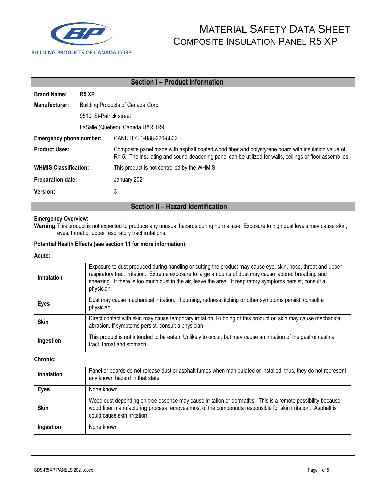

|                                                                                                                                                                                                                            |                                                                                                                                                                                                                                                                                                                                                     | <b>Section I - Product Information</b>                                                                                                                                                                                                                     |  |  |  |
|----------------------------------------------------------------------------------------------------------------------------------------------------------------------------------------------------------------------------|-----------------------------------------------------------------------------------------------------------------------------------------------------------------------------------------------------------------------------------------------------------------------------------------------------------------------------------------------------|------------------------------------------------------------------------------------------------------------------------------------------------------------------------------------------------------------------------------------------------------------|--|--|--|
| <b>Brand Name:</b>                                                                                                                                                                                                         | R <sub>5</sub> XP                                                                                                                                                                                                                                                                                                                                   |                                                                                                                                                                                                                                                            |  |  |  |
| Manufacturer:                                                                                                                                                                                                              | <b>Building Products of Canada Corp</b>                                                                                                                                                                                                                                                                                                             |                                                                                                                                                                                                                                                            |  |  |  |
|                                                                                                                                                                                                                            | 9510, St-Patrick street                                                                                                                                                                                                                                                                                                                             |                                                                                                                                                                                                                                                            |  |  |  |
|                                                                                                                                                                                                                            | LaSalle (Quebec), Canada H8R 1R9                                                                                                                                                                                                                                                                                                                    |                                                                                                                                                                                                                                                            |  |  |  |
| Emergency phone number:                                                                                                                                                                                                    |                                                                                                                                                                                                                                                                                                                                                     | CANUTEC 1-888-226-8832                                                                                                                                                                                                                                     |  |  |  |
| <b>Product Uses:</b>                                                                                                                                                                                                       |                                                                                                                                                                                                                                                                                                                                                     | Composite panel made with asphalt coated wood fiber and polystyrene board with insulation value of<br>R= 5. The insulating and sound-deadening panel can be utilized for walls, ceilings or floor assemblies.                                              |  |  |  |
| <b>WHMIS Classification:</b>                                                                                                                                                                                               |                                                                                                                                                                                                                                                                                                                                                     | This product is not controlled by the WHMIS.                                                                                                                                                                                                               |  |  |  |
| <b>Preparation date:</b>                                                                                                                                                                                                   |                                                                                                                                                                                                                                                                                                                                                     | January 2021                                                                                                                                                                                                                                               |  |  |  |
| Version:                                                                                                                                                                                                                   |                                                                                                                                                                                                                                                                                                                                                     | 3                                                                                                                                                                                                                                                          |  |  |  |
|                                                                                                                                                                                                                            |                                                                                                                                                                                                                                                                                                                                                     | Section II - Hazard Identification                                                                                                                                                                                                                         |  |  |  |
| <b>Emergency Overview:</b><br>Warning: This product is not expected to produce any unusual hazards during normal use. Exposure to high dust levels may cause skin,<br>eyes, throat or upper respiratory tract irritations. |                                                                                                                                                                                                                                                                                                                                                     |                                                                                                                                                                                                                                                            |  |  |  |
|                                                                                                                                                                                                                            |                                                                                                                                                                                                                                                                                                                                                     | Potential Health Effects (see section 11 for more information)                                                                                                                                                                                             |  |  |  |
| Acute:                                                                                                                                                                                                                     |                                                                                                                                                                                                                                                                                                                                                     |                                                                                                                                                                                                                                                            |  |  |  |
| Inhalation                                                                                                                                                                                                                 | Exposure to dust produced during handling or cutting the product may cause eye, skin, nose, throat and upper<br>respiratory tract irritation. Extreme exposure to large amounts of dust may cause labored breathing and<br>sneezing. If there is too much dust in the air, leave the area. If respiratory symptoms persist, consult a<br>physician. |                                                                                                                                                                                                                                                            |  |  |  |
| <b>Eyes</b>                                                                                                                                                                                                                |                                                                                                                                                                                                                                                                                                                                                     | Dust may cause mechanical irritation. If burning, redness, itching or other symptoms persist, consult a<br>physician.                                                                                                                                      |  |  |  |
| <b>Skin</b>                                                                                                                                                                                                                |                                                                                                                                                                                                                                                                                                                                                     | Direct contact with skin may cause temporary irritation. Rubbing of this product on skin may cause mechanical<br>abrasion. If symptoms persist, consult a physician.                                                                                       |  |  |  |
| Ingestion                                                                                                                                                                                                                  |                                                                                                                                                                                                                                                                                                                                                     | This product is not intended to be eaten. Unlikely to occur, but may cause an irritation of the gastrointestinal<br>tract, throat and stomach.                                                                                                             |  |  |  |
| <b>Chronic:</b>                                                                                                                                                                                                            |                                                                                                                                                                                                                                                                                                                                                     |                                                                                                                                                                                                                                                            |  |  |  |
| Inhalation                                                                                                                                                                                                                 | Panel or boards do not release dust or asphalt fumes when manipulated or installed, thus, they do not represent<br>any known hazard in that state.                                                                                                                                                                                                  |                                                                                                                                                                                                                                                            |  |  |  |
| <b>Eyes</b>                                                                                                                                                                                                                |                                                                                                                                                                                                                                                                                                                                                     | None known                                                                                                                                                                                                                                                 |  |  |  |
| <b>Skin</b>                                                                                                                                                                                                                |                                                                                                                                                                                                                                                                                                                                                     | Wood dust depending on tree essence may cause irritation or dermatitis. This is a remote possibility because<br>wood fiber manufacturing process removes most of the compounds responsible for skin irritation. Asphalt is<br>could cause skin irritation. |  |  |  |
| Ingestion                                                                                                                                                                                                                  |                                                                                                                                                                                                                                                                                                                                                     | None known                                                                                                                                                                                                                                                 |  |  |  |
|                                                                                                                                                                                                                            |                                                                                                                                                                                                                                                                                                                                                     |                                                                                                                                                                                                                                                            |  |  |  |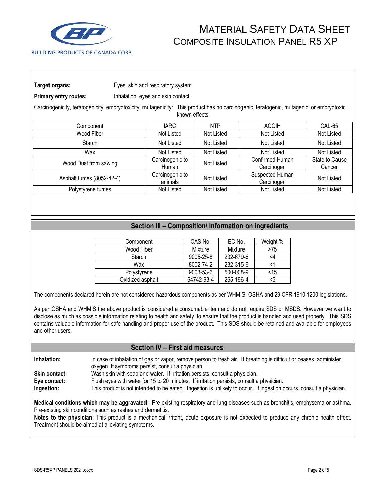

**Primary entry routes:** Inhalation, eyes and skin contact.

Carcinogenicity, teratogenicity, embryotoxicity, mutagenicity: This product has no carcinogenic, teratogenic, mutagenic, or embryotoxic known effects.

| Component                 | IARC.                      | <b>NTP</b> | <b>ACGIH</b>                  | CAL-65                   |
|---------------------------|----------------------------|------------|-------------------------------|--------------------------|
| Wood Fiber                | Not Listed                 | Not Listed | Not Listed                    | Not Listed               |
| Starch                    | Not Listed                 | Not Listed | Not Listed                    | Not Listed               |
| Wax                       | Not Listed                 | Not Listed | Not Listed                    | Not Listed               |
| Wood Dust from sawing     | Carcinogenic to<br>Human   | Not Listed | Confirmed Human<br>Carcinogen | State to Cause<br>Cancer |
| Asphalt fumes (8052-42-4) | Carcinogenic to<br>animals | Not Listed | Suspected Human<br>Carcinogen | Not Listed               |
| Polystyrene fumes         | Not Listed                 | Not Listed | Not Listed                    | Not Listed               |

#### **Section III – Composition/ Information on ingredients**

| Component        | CAS No.    | EC No.    | Weight % |
|------------------|------------|-----------|----------|
| Wood Fiber       | Mixture    | Mixture   | >75      |
| Starch           | 9005-25-8  | 232-679-6 | <4       |
| Wax              | 8002-74-2  | 232-315-6 |          |
| Polystyrene      | 9003-53-6  | 500-008-9 | $<$ 15   |
| Oxidized asphalt | 64742-93-4 | 265-196-4 | <5       |

The components declared herein are not considered hazardous components as per WHMIS, OSHA and 29 CFR 1910.1200 legislations.

As per OSHA and WHMIS the above product is considered a consumable item and do not require SDS or MSDS. However we want to disclose as much as possible information relating to health and safety, to ensure that the product is handled and used properly. This SDS contains valuable information for safe handling and proper use of the product. This SDS should be retained and available for employees and other users.

#### **Section IV – First aid measures**

**Inhalation:** In case of inhalation of gas or vapor, remove person to fresh air. If breathing is difficult or ceases, administer oxygen. If symptoms persist, consult a physician.

**Skin contact:** Wash skin with soap and water. If irritation persists, consult a physician.

**Eye contact:** Flush eyes with water for 15 to 20 minutes. If irritation persists, consult a physician.

**Ingestion:** This product is not intended to be eaten. Ingestion is unlikely to occur. If ingestion occurs, consult a physician.

**Medical conditions which may be aggravated**: Pre-existing respiratory and lung diseases such as bronchitis, emphysema or asthma. Pre-existing skin conditions such as rashes and dermatitis.

**Notes to the physician:** This product is a mechanical irritant, acute exposure is not expected to produce any chronic health effect. Treatment should be aimed at alleviating symptoms.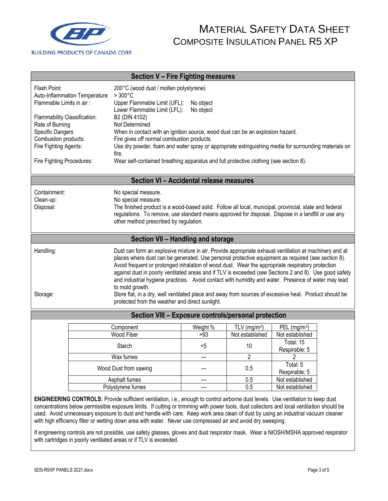

| Section V - Fire Fighting measures                                                                                                    |                                                                                                                                                                                                                                                                                                                                                                                                                                                                                                                                                                                                                                                                                                                   |                                                                                                                                                                                                                                                                                                      |                              |                                               |                                             |  |  |
|---------------------------------------------------------------------------------------------------------------------------------------|-------------------------------------------------------------------------------------------------------------------------------------------------------------------------------------------------------------------------------------------------------------------------------------------------------------------------------------------------------------------------------------------------------------------------------------------------------------------------------------------------------------------------------------------------------------------------------------------------------------------------------------------------------------------------------------------------------------------|------------------------------------------------------------------------------------------------------------------------------------------------------------------------------------------------------------------------------------------------------------------------------------------------------|------------------------------|-----------------------------------------------|---------------------------------------------|--|--|
| Flash Point:<br>Flammable Limits in air:                                                                                              | Auto-Inflammation Temperature:                                                                                                                                                                                                                                                                                                                                                                                                                                                                                                                                                                                                                                                                                    | 200°C (wood dust / molten polystyrene)<br>$>300^{\circ}$ C<br>Upper Flammable Limit (UFL):                                                                                                                                                                                                           | No object<br>No object       |                                               |                                             |  |  |
| Flammability Classification:<br>Rate of Burning                                                                                       |                                                                                                                                                                                                                                                                                                                                                                                                                                                                                                                                                                                                                                                                                                                   | B2 (DIN 4102)<br>Not Determined                                                                                                                                                                                                                                                                      | Lower Flammable Limit (LFL): |                                               |                                             |  |  |
| <b>Specific Dangers</b>                                                                                                               |                                                                                                                                                                                                                                                                                                                                                                                                                                                                                                                                                                                                                                                                                                                   | When in contact with an ignition source, wood dust can be an explosion hazard.                                                                                                                                                                                                                       |                              |                                               |                                             |  |  |
| Combustion products:<br>Fire Fighting Agents:                                                                                         |                                                                                                                                                                                                                                                                                                                                                                                                                                                                                                                                                                                                                                                                                                                   | Fire gives off normal combustion products.<br>Use dry powder, foam and water spray or appropriate extinguishing media for surrounding materials on<br>fire.                                                                                                                                          |                              |                                               |                                             |  |  |
| Fire Fighting Procedures:                                                                                                             |                                                                                                                                                                                                                                                                                                                                                                                                                                                                                                                                                                                                                                                                                                                   | Wear self-contained breathing apparatus and full protective clothing (see section 8).                                                                                                                                                                                                                |                              |                                               |                                             |  |  |
|                                                                                                                                       |                                                                                                                                                                                                                                                                                                                                                                                                                                                                                                                                                                                                                                                                                                                   | Section VI - Accidental release measures                                                                                                                                                                                                                                                             |                              |                                               |                                             |  |  |
| Containment:<br>Clean-up:<br>Disposal:                                                                                                |                                                                                                                                                                                                                                                                                                                                                                                                                                                                                                                                                                                                                                                                                                                   | No special measure.<br>No special measure.<br>The finished product is a wood-based solid. Follow all local, municipal, provincial, state and federal<br>regulations. To remove, use standard means approved for disposal. Dispose in a landfill or use any<br>other method prescribed by regulation. |                              |                                               |                                             |  |  |
|                                                                                                                                       |                                                                                                                                                                                                                                                                                                                                                                                                                                                                                                                                                                                                                                                                                                                   | Section VII - Handling and storage                                                                                                                                                                                                                                                                   |                              |                                               |                                             |  |  |
| Handling:<br>Storage:                                                                                                                 | Dust can form an explosive mixture in air. Provide appropriate exhaust ventilation at machinery and at<br>places where dust can be generated. Use personal protective equipment as required (see section 8).<br>Avoid frequent or prolonged inhalation of wood dust. Wear the appropriate respiratory protection<br>against dust in poorly ventilated areas and if TLV is exceeded (see Sections 2 and 8). Use good safety<br>and industrial hygiene practices. Avoid contact with humidity and water. Presence of water may lead<br>to mold growth.<br>Store flat, in a dry, well ventilated place and away from sources of excessive heat. Product should be<br>protected from the weather and direct sunlight. |                                                                                                                                                                                                                                                                                                      |                              |                                               |                                             |  |  |
| Section VIII - Exposure controls/personal protection                                                                                  |                                                                                                                                                                                                                                                                                                                                                                                                                                                                                                                                                                                                                                                                                                                   |                                                                                                                                                                                                                                                                                                      |                              |                                               |                                             |  |  |
|                                                                                                                                       |                                                                                                                                                                                                                                                                                                                                                                                                                                                                                                                                                                                                                                                                                                                   | Component<br><b>Wood Fiber</b>                                                                                                                                                                                                                                                                       | Weight <sup>76</sup><br>>93  | $TLV$ (mg/m <sup>3</sup> )<br>Not established | PEL (mg/m <sup>3</sup> )<br>Not established |  |  |
|                                                                                                                                       |                                                                                                                                                                                                                                                                                                                                                                                                                                                                                                                                                                                                                                                                                                                   | Starch                                                                                                                                                                                                                                                                                               | <5                           | 10                                            | Total: 15<br>Respirable: 5                  |  |  |
|                                                                                                                                       | Wax fumes                                                                                                                                                                                                                                                                                                                                                                                                                                                                                                                                                                                                                                                                                                         |                                                                                                                                                                                                                                                                                                      | ---                          | $\overline{2}$                                | 2                                           |  |  |
|                                                                                                                                       | Wood Dust from sawing                                                                                                                                                                                                                                                                                                                                                                                                                                                                                                                                                                                                                                                                                             |                                                                                                                                                                                                                                                                                                      |                              | 0.5                                           | Total: 5<br>Respirable: 5                   |  |  |
|                                                                                                                                       |                                                                                                                                                                                                                                                                                                                                                                                                                                                                                                                                                                                                                                                                                                                   | Asphalt fumes<br>Polystyrene fumes                                                                                                                                                                                                                                                                   |                              | 0.5<br>0.5                                    | Not established<br>Not established          |  |  |
| <b>ENGINEERING CONTROLS:</b> Provide sufficient ventilation i.e. enough to control airborne dust levels. Use ventilation to keep dust |                                                                                                                                                                                                                                                                                                                                                                                                                                                                                                                                                                                                                                                                                                                   |                                                                                                                                                                                                                                                                                                      |                              |                                               |                                             |  |  |

**ENGINEERING CONTROLS:** Provide sufficient ventilation, i.e., enough to control airborne dust levels. Use ventilation to keep dust concentrations below permissible exposure limits. If cutting or trimming with power tools, dust collectors and local ventilation should be used. Avoid unnecessary exposure to dust and handle with care. Keep work area clean of dust by using an industrial vacuum cleaner with high efficiency filter or wetting down area with water. Never use compressed air and avoid dry sweeping.

If engineering controls are not possible, use safety glasses, gloves and dust respirator mask. Wear a NIOSH/MSHA approved respirator with cartridges in poorly ventilated areas or if TLV is exceeded.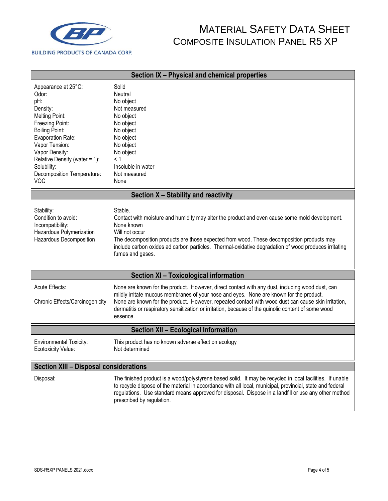

| Section IX - Physical and chemical properties                                                                                                                                                                                                                             |                                                                                                                                                                                                                                                                                                                                                                                                                      |  |  |
|---------------------------------------------------------------------------------------------------------------------------------------------------------------------------------------------------------------------------------------------------------------------------|----------------------------------------------------------------------------------------------------------------------------------------------------------------------------------------------------------------------------------------------------------------------------------------------------------------------------------------------------------------------------------------------------------------------|--|--|
| Appearance at 25°C:<br>Odor:<br>pH:<br>Density:<br><b>Melting Point:</b><br>Freezing Point:<br><b>Boiling Point:</b><br>Evaporation Rate:<br>Vapor Tension:<br>Vapor Density:<br>Relative Density (water = 1):<br>Solubility:<br>Decomposition Temperature:<br><b>VOC</b> | Solid<br>Neutral<br>No object<br>Not measured<br>No object<br>No object<br>No object<br>No object<br>No object<br>No object<br>< 1<br>Insoluble in water<br>Not measured<br>None                                                                                                                                                                                                                                     |  |  |
|                                                                                                                                                                                                                                                                           | Section X - Stability and reactivity                                                                                                                                                                                                                                                                                                                                                                                 |  |  |
| Stability:<br>Condition to avoid:<br>Incompatibility:<br>Hazardous Polymerization<br>Hazardous Decomposition                                                                                                                                                              | Stable.<br>Contact with moisture and humidity may alter the product and even cause some mold development.<br>None known<br>Will not occur<br>The decomposition products are those expected from wood. These decomposition products may<br>include carbon oxides ad carbon particles. Thermal-oxidative degradation of wood produces irritating<br>fumes and gases.                                                   |  |  |
|                                                                                                                                                                                                                                                                           | Section XI - Toxicological information                                                                                                                                                                                                                                                                                                                                                                               |  |  |
| Acute Effects:<br>Chronic Effects/Carcinogenicity                                                                                                                                                                                                                         | None are known for the product. However, direct contact with any dust, including wood dust, can<br>mildly irritate mucous membranes of your nose and eyes. None are known for the product.<br>None are known for the product. However, repeated contact with wood dust can cause skin irritation,<br>dermatitis or respiratory sensitization or irritation, because of the quinolic content of some wood<br>essence. |  |  |
| Section XII - Ecological Information                                                                                                                                                                                                                                      |                                                                                                                                                                                                                                                                                                                                                                                                                      |  |  |
| <b>Environmental Toxicity:</b><br>Ecotoxicity Value:                                                                                                                                                                                                                      | This product has no known adverse effect on ecology<br>Not determined                                                                                                                                                                                                                                                                                                                                                |  |  |
| <b>Section XIII - Disposal considerations</b>                                                                                                                                                                                                                             |                                                                                                                                                                                                                                                                                                                                                                                                                      |  |  |
| Disposal:                                                                                                                                                                                                                                                                 | The finished product is a wood/polystyrene based solid. It may be recycled in local facilities. If unable<br>to recycle dispose of the material in accordance with all local, municipal, provincial, state and federal<br>regulations. Use standard means approved for disposal. Dispose in a landfill or use any other method<br>prescribed by regulation.                                                          |  |  |